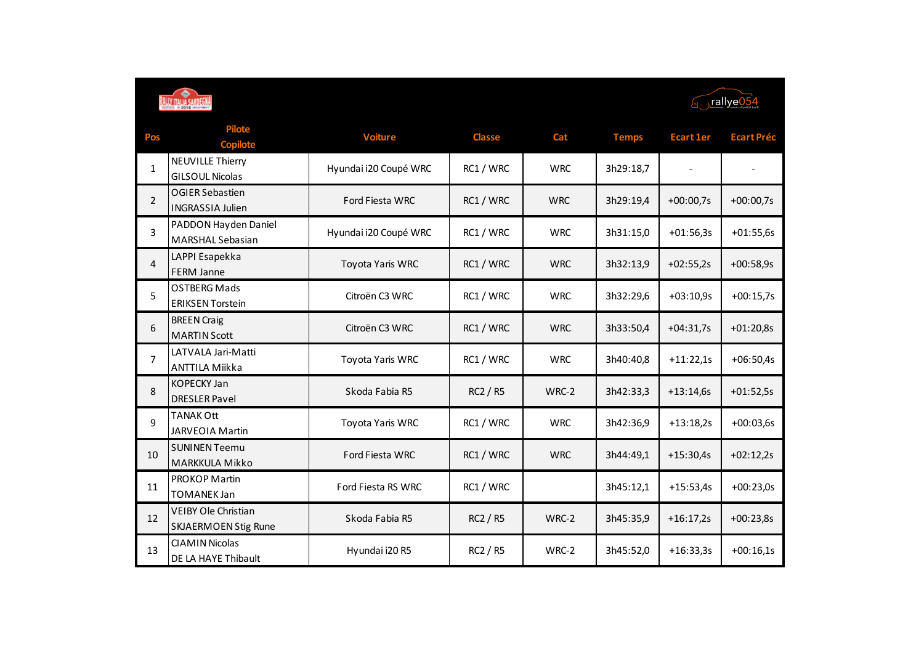| <b>ILA SARDE</b> |
|------------------|
| 2018 US          |

 $\sqrt{\frac{r \cdot \text{allye054}}{r \cdot \text{allye054}}}}$ 

| Pos            | Pilote<br><b>Copilote</b>                          | <b>Voiture</b>         | <b>Classe</b> | Cat        | <b>Temps</b> | <b>Ecart 1er</b> | <b>Ecart Préc</b> |
|----------------|----------------------------------------------------|------------------------|---------------|------------|--------------|------------------|-------------------|
| $\mathbf{1}$   | <b>NEUVILLE Thierry</b><br><b>GILSOUL Nicolas</b>  | Hyundai i20 Coupé WRC  | RC1 / WRC     | <b>WRC</b> | 3h29:18,7    |                  |                   |
| $\overline{2}$ | OGIER Sebastien<br><b>INGRASSIA Julien</b>         | <b>Ford Fiesta WRC</b> | RC1 / WRC     | <b>WRC</b> | 3h29:19,4    | $+00:00,7s$      | $+00:00,7s$       |
| 3              | PADDON Hayden Daniel<br>MARSHAL Sebasian           | Hyundai i20 Coupé WRC  | RC1 / WRC     | <b>WRC</b> | 3h31:15,0    | $+01:56,3s$      | $+01:55,6s$       |
| 4              | LAPPI Esapekka<br><b>FERM Janne</b>                | Toyota Yaris WRC       | RC1 / WRC     | <b>WRC</b> | 3h32:13,9    | $+02:55,2s$      | $+00:58,9s$       |
| 5              | <b>OSTBERG Mads</b><br><b>ERIKSEN Torstein</b>     | Citroën C3 WRC         | RC1 / WRC     | <b>WRC</b> | 3h32:29,6    | $+03:10,9s$      | $+00:15,7s$       |
| 6              | <b>BREEN Craig</b><br><b>MARTIN Scott</b>          | Citroën C3 WRC         | RC1 / WRC     | <b>WRC</b> | 3h33:50,4    | $+04:31,7s$      | $+01:20,8s$       |
| $\overline{7}$ | LATVALA Jari-Matti<br><b>ANTTILA Miikka</b>        | Toyota Yaris WRC       | RC1 / WRC     | <b>WRC</b> | 3h40:40,8    | $+11:22,1s$      | $+06:50,4s$       |
| 8              | <b>KOPECKY Jan</b><br><b>DRESLER Pavel</b>         | Skoda Fabia R5         | RC2 / R5      | WRC-2      | 3h42:33,3    | $+13:14,6s$      | $+01:52,5s$       |
| 9              | <b>TANAK Ott</b><br>JARVEOIA Martin                | Toyota Yaris WRC       | RC1 / WRC     | <b>WRC</b> | 3h42:36,9    | $+13:18,2s$      | $+00:03,6s$       |
| 10             | <b>SUNINEN Teemu</b><br>MARKKULA Mikko             | <b>Ford Fiesta WRC</b> | RC1 / WRC     | <b>WRC</b> | 3h44:49,1    | $+15:30,4s$      | $+02:12,2s$       |
| 11             | PROKOP Martin<br><b>TOMANEK Jan</b>                | Ford Fiesta RS WRC     | RC1 / WRC     |            | 3h45:12,1    | $+15:53,4s$      | $+00:23,0s$       |
| 12             | VEIBY Ole Christian<br><b>SKJAERMOEN Stig Rune</b> | Skoda Fabia R5         | RC2 / R5      | WRC-2      | 3h45:35,9    | $+16:17,2s$      | $+00:23,8s$       |
| 13             | <b>CIAMIN Nicolas</b><br>DE LA HAYE Thibault       | Hyundai i20 R5         | RC2 / R5      | WRC-2      | 3h45:52,0    | $+16:33,3s$      | $+00:16,1s$       |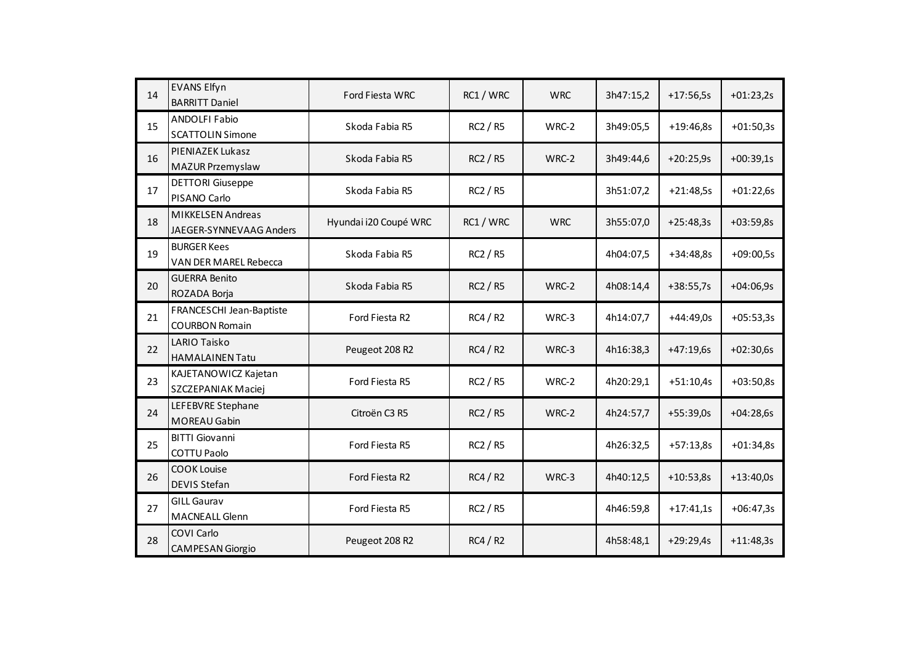| 14 | <b>EVANS Elfyn</b><br><b>BARRITT Daniel</b>         | Ford Fiesta WRC       | RC1 / WRC       | <b>WRC</b> | 3h47:15,2 | $+17:56,5s$ | $+01:23,2s$ |
|----|-----------------------------------------------------|-----------------------|-----------------|------------|-----------|-------------|-------------|
| 15 | <b>ANDOLFI Fabio</b><br><b>SCATTOLIN Simone</b>     | Skoda Fabia R5        | RC2 / R5        | WRC-2      | 3h49:05,5 | $+19:46,8s$ | $+01:50,3s$ |
| 16 | PIENIAZEK Lukasz<br>MAZUR Przemyslaw                | Skoda Fabia R5        | <b>RC2 / R5</b> | WRC-2      | 3h49:44,6 | $+20:25,9s$ | $+00:39,1s$ |
| 17 | <b>DETTORI Giuseppe</b><br>PISANO Carlo             | Skoda Fabia R5        | RC2 / R5        |            | 3h51:07,2 | $+21:48,5s$ | $+01:22,6s$ |
| 18 | <b>MIKKELSEN Andreas</b><br>JAEGER-SYNNEVAAG Anders | Hyundai i20 Coupé WRC | RC1 / WRC       | <b>WRC</b> | 3h55:07,0 | $+25:48,3s$ | $+03:59,8s$ |
| 19 | <b>BURGER Kees</b><br>VAN DER MAREL Rebecca         | Skoda Fabia R5        | <b>RC2 / R5</b> |            | 4h04:07,5 | +34:48,8s   | $+09:00,5s$ |
| 20 | <b>GUERRA Benito</b><br>ROZADA Borja                | Skoda Fabia R5        | <b>RC2 / R5</b> | WRC-2      | 4h08:14,4 | $+38:55,7s$ | $+04:06,9s$ |
| 21 | FRANCESCHI Jean-Baptiste<br><b>COURBON Romain</b>   | Ford Fiesta R2        | RC4/R2          | WRC-3      | 4h14:07,7 | $+44:49,0s$ | $+05:53,3s$ |
| 22 | LARIO Taisko<br><b>HAMALAINEN Tatu</b>              | Peugeot 208 R2        | RC4/R2          | WRC-3      | 4h16:38,3 | $+47:19,6s$ | $+02:30,6s$ |
| 23 | KAJETANOWICZ Kajetan<br>SZCZEPANIAK Maciej          | Ford Fiesta R5        | <b>RC2 / R5</b> | WRC-2      | 4h20:29,1 | $+51:10,4s$ | $+03:50,8s$ |
| 24 | LEFEBVRE Stephane<br>MOREAU Gabin                   | Citroën C3 R5         | <b>RC2 / R5</b> | WRC-2      | 4h24:57,7 | $+55:39,0s$ | $+04:28,6s$ |
| 25 | <b>BITTI Giovanni</b><br>COTTU Paolo                | Ford Fiesta R5        | <b>RC2 / R5</b> |            | 4h26:32,5 | $+57:13,8s$ | $+01:34,8s$ |
| 26 | <b>COOK Louise</b><br><b>DEVIS Stefan</b>           | Ford Fiesta R2        | RC4/R2          | WRC-3      | 4h40:12,5 | $+10:53,8s$ | $+13:40,0s$ |
| 27 | <b>GILL Gaurav</b><br><b>MACNEALL Glenn</b>         | Ford Fiesta R5        | <b>RC2 / R5</b> |            | 4h46:59,8 | $+17:41,1s$ | $+06:47,3s$ |
| 28 | COVI Carlo<br><b>CAMPESAN Giorgio</b>               | Peugeot 208 R2        | RC4/R2          |            | 4h58:48,1 | $+29:29,4s$ | $+11:48,3s$ |